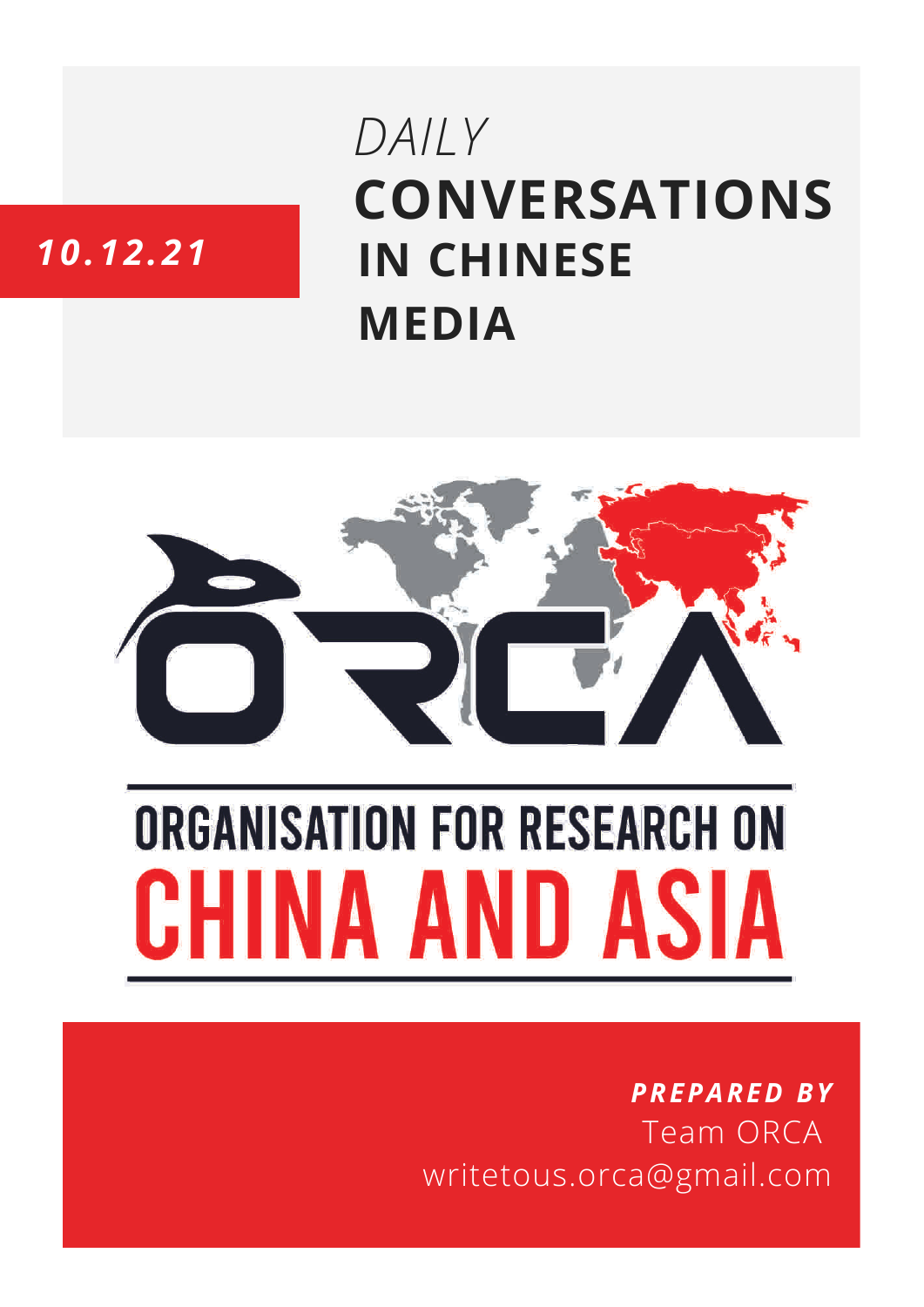# **CONVERSATIONS IN CHINESE MEDIA** *DAILY*

# *10.12.21*



# **ORGANISATION FOR RESEARCH ON** HINA AND ASIA

## *PREPARED BY* Team ORCA writetous.orca@gmail.com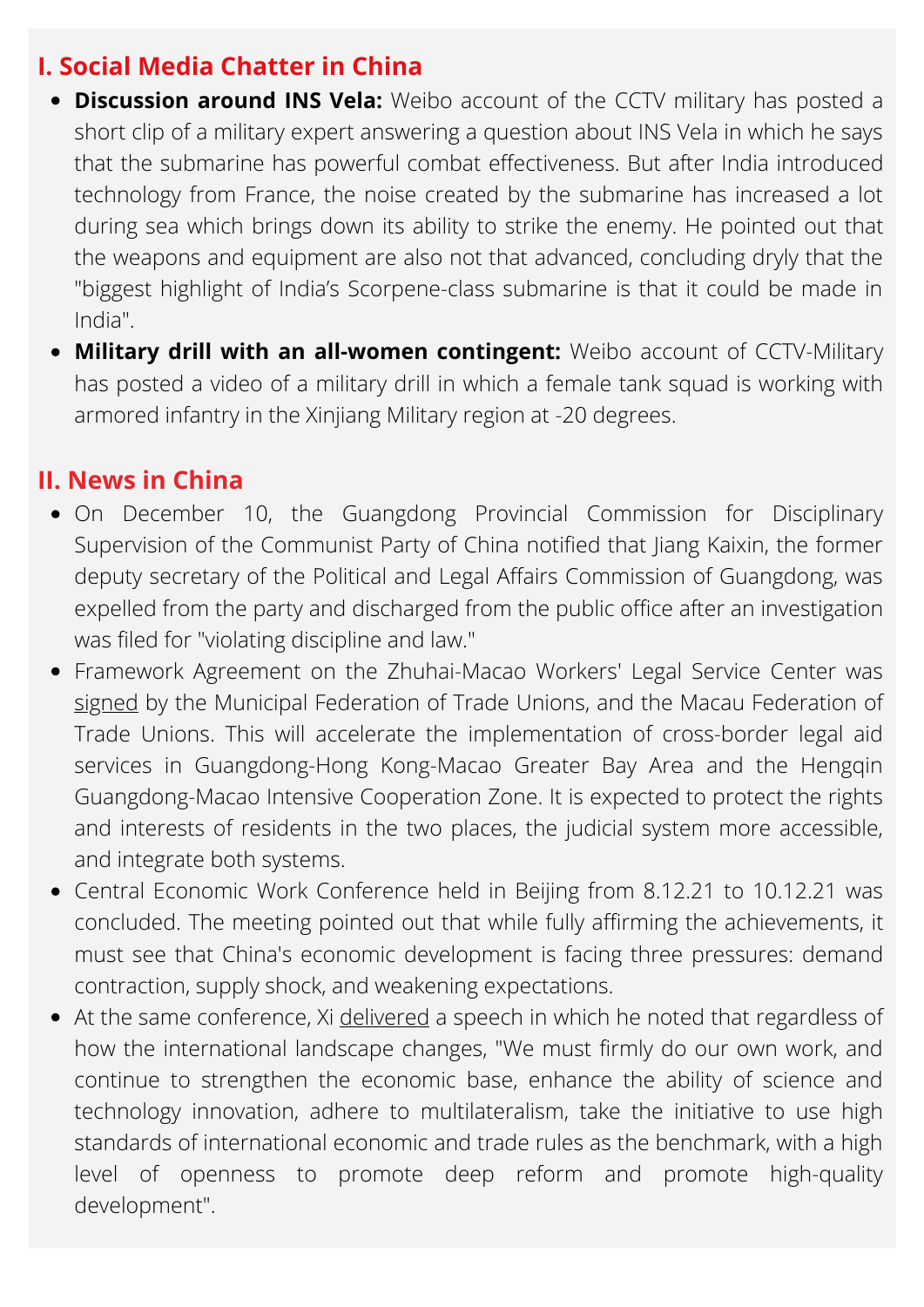### **I. Social Media Chatter in China**

- **Discussion around INS Vela:** Weibo account of the CCTV military has posted a short clip of a military expert answering a question about INS Vela in which he says that the submarine has powerful combat effectiveness. But after India introduced technology from France, the noise created by the submarine has increased a lot during sea which brings down its ability to strike the enemy. He pointed out that the weapons and equipment are also not that advanced, concluding dryly that the "biggest highlight of India's Scorpene-class submarine is that it could be made in India".
- **Military drill with an all-women contingent:** Weibo account of CCTV-Military has posted a video of a military drill in which a female tank squad is working with armored infantry in the Xinjiang Military region at -20 degrees.

#### **II. News in China**

- On December 10, the Guangdong Provincial Commission for Disciplinary Supervision of the Communist Party of China notified that Jiang Kaixin, the former deputy secretary of the Political and Legal Affairs Commission of Guangdong, was expelled from the party and discharged from the public office after an investigation was filed for "violating discipline and law."
- Framework Agreement on the Zhuhai-Macao Workers' Legal Service Center was [signed](https://opinion.southcn.com/node_4eddbd6bd8/2482584ac9.shtml) by the Municipal Federation of Trade Unions, and the Macau Federation of Trade Unions. This will accelerate the implementation of cross-border legal aid services in Guangdong-Hong Kong-Macao Greater Bay Area and the Hengqin Guangdong-Macao Intensive Cooperation Zone. It is expected to protect the rights and interests of residents in the two places, the judicial system more accessible, and integrate both systems.
- Central Economic Work Conference held in Beijing from 8.12.21 to 10.12.21 was concluded. The meeting pointed out that while fully affirming the achievements, it must see that China's economic development is facing three pressures: demand contraction, supply shock, and weakening expectations.
- At the same conference, Xi [delivered](https://www.guancha.cn/politics/2021_12_10_618039_s.shtml) a speech in which he noted that regardless of how the international landscape changes, "We must firmly do our own work, and continue to strengthen the economic base, enhance the ability of science and technology innovation, adhere to multilateralism, take the initiative to use high standards of international economic and trade rules as the benchmark, with a high level of openness to promote deep reform and promote high-quality development".